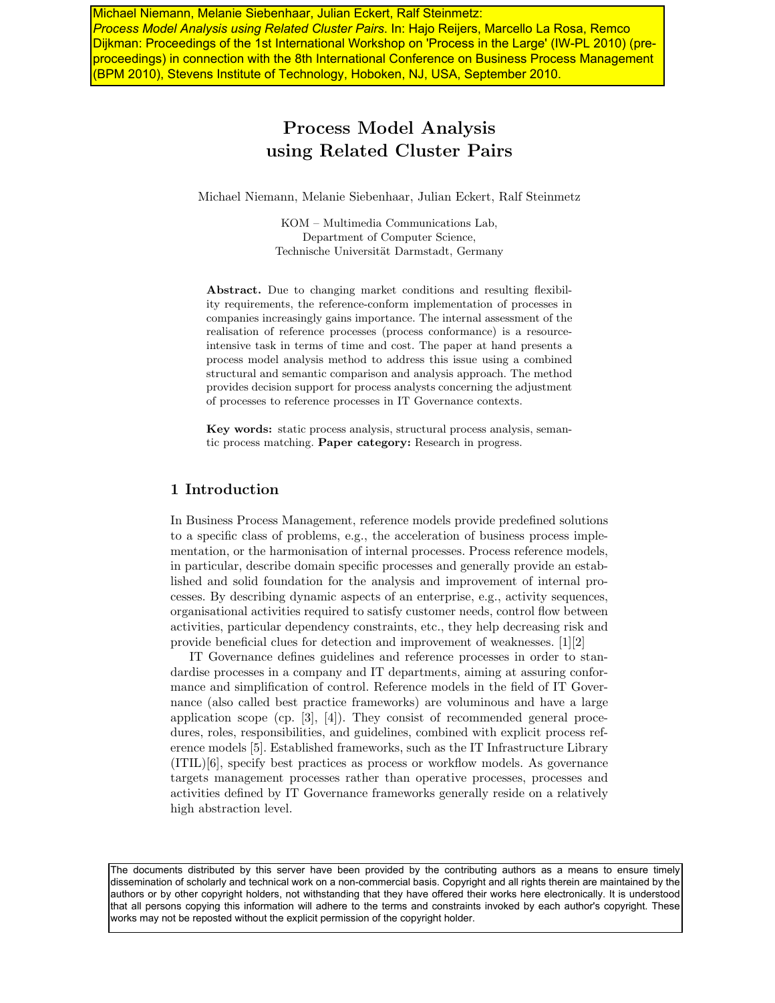Michael Niemann, Melanie Siebenhaar, Julian Eckert, Ralf Steinmetz: *Process Model Analysis using Related Cluster Pairs*. In: Hajo Reijers, Marcello La Rosa, Remco Dijkman: Proceedings of the 1st International Workshop on 'Process in the Large' (IW-PL 2010) (preproceedings) in connection with the 8th International Conference on Business Process Management (BPM 2010), Stevens Institute of Technology, Hoboken, NJ, USA, September 2010.

# Process Model Analysis using Related Cluster Pairs

Michael Niemann, Melanie Siebenhaar, Julian Eckert, Ralf Steinmetz

KOM – Multimedia Communications Lab, Department of Computer Science, Technische Universität Darmstadt, Germany

Abstract. Due to changing market conditions and resulting flexibility requirements, the reference-conform implementation of processes in companies increasingly gains importance. The internal assessment of the realisation of reference processes (process conformance) is a resourceintensive task in terms of time and cost. The paper at hand presents a process model analysis method to address this issue using a combined structural and semantic comparison and analysis approach. The method provides decision support for process analysts concerning the adjustment of processes to reference processes in IT Governance contexts.

Key words: static process analysis, structural process analysis, semantic process matching. Paper category: Research in progress.

# 1 Introduction

In Business Process Management, reference models provide predefined solutions to a specific class of problems, e.g., the acceleration of business process implementation, or the harmonisation of internal processes. Process reference models, in particular, describe domain specific processes and generally provide an established and solid foundation for the analysis and improvement of internal processes. By describing dynamic aspects of an enterprise, e.g., activity sequences, organisational activities required to satisfy customer needs, control flow between activities, particular dependency constraints, etc., they help decreasing risk and provide beneficial clues for detection and improvement of weaknesses. [1][2]

IT Governance defines guidelines and reference processes in order to standardise processes in a company and IT departments, aiming at assuring conformance and simplification of control. Reference models in the field of IT Governance (also called best practice frameworks) are voluminous and have a large application scope (cp.  $[3]$ ,  $[4]$ ). They consist of recommended general procedures, roles, responsibilities, and guidelines, combined with explicit process reference models [5]. Established frameworks, such as the IT Infrastructure Library (ITIL)[6], specify best practices as process or workflow models. As governance targets management processes rather than operative processes, processes and activities defined by IT Governance frameworks generally reside on a relatively high abstraction level.

The documents distributed by this server have been provided by the contributing authors as a means to ensure timely dissemination of scholarly and technical work on a non-commercial basis. Copyright and all rights therein are maintained by the authors or by other copyright holders, not withstanding that they have offered their works here electronically. It is understood that all persons copying this information will adhere to the terms and constraints invoked by each author's copyright. These works may not be reposted without the explicit permission of the copyright holder.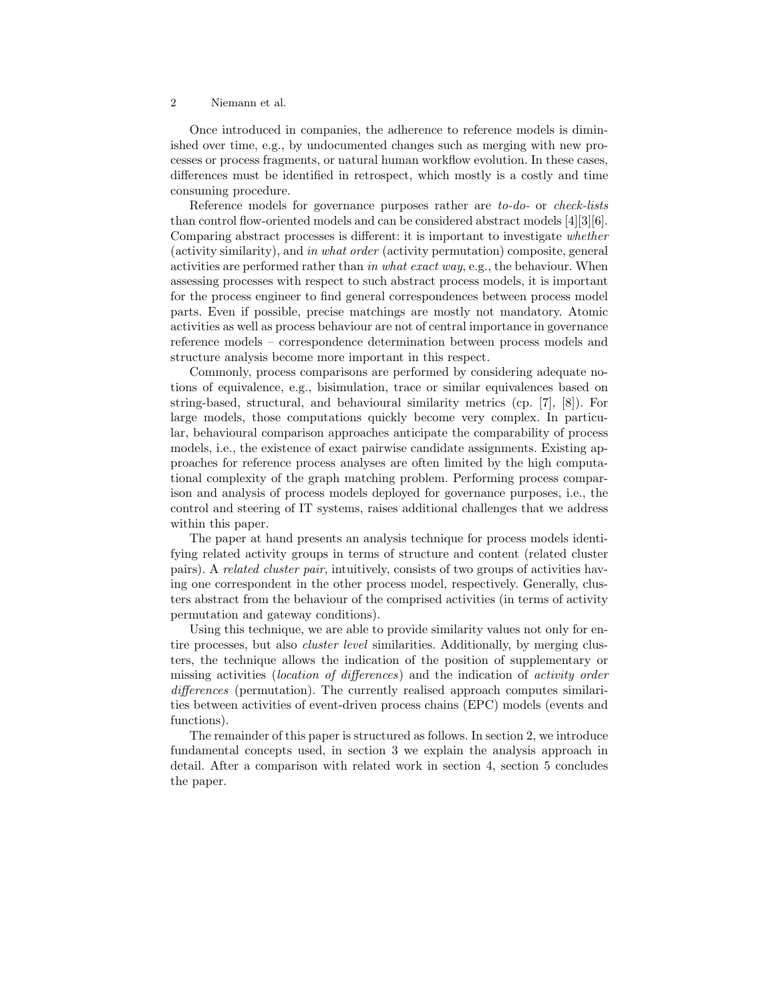Once introduced in companies, the adherence to reference models is diminished over time, e.g., by undocumented changes such as merging with new processes or process fragments, or natural human workflow evolution. In these cases, differences must be identified in retrospect, which mostly is a costly and time consuming procedure.

Reference models for governance purposes rather are to-do- or check-lists than control flow-oriented models and can be considered abstract models [4][3][6]. Comparing abstract processes is different: it is important to investigate whether (activity similarity), and in what order (activity permutation) composite, general activities are performed rather than in what exact way, e.g., the behaviour. When assessing processes with respect to such abstract process models, it is important for the process engineer to find general correspondences between process model parts. Even if possible, precise matchings are mostly not mandatory. Atomic activities as well as process behaviour are not of central importance in governance reference models – correspondence determination between process models and structure analysis become more important in this respect.

Commonly, process comparisons are performed by considering adequate notions of equivalence, e.g., bisimulation, trace or similar equivalences based on string-based, structural, and behavioural similarity metrics (cp. [7], [8]). For large models, those computations quickly become very complex. In particular, behavioural comparison approaches anticipate the comparability of process models, i.e., the existence of exact pairwise candidate assignments. Existing approaches for reference process analyses are often limited by the high computational complexity of the graph matching problem. Performing process comparison and analysis of process models deployed for governance purposes, i.e., the control and steering of IT systems, raises additional challenges that we address within this paper.

The paper at hand presents an analysis technique for process models identifying related activity groups in terms of structure and content (related cluster pairs). A related cluster pair, intuitively, consists of two groups of activities having one correspondent in the other process model, respectively. Generally, clusters abstract from the behaviour of the comprised activities (in terms of activity permutation and gateway conditions).

Using this technique, we are able to provide similarity values not only for entire processes, but also cluster level similarities. Additionally, by merging clusters, the technique allows the indication of the position of supplementary or missing activities (location of differences) and the indication of activity order differences (permutation). The currently realised approach computes similarities between activities of event-driven process chains (EPC) models (events and functions).

The remainder of this paper is structured as follows. In section 2, we introduce fundamental concepts used, in section 3 we explain the analysis approach in detail. After a comparison with related work in section 4, section 5 concludes the paper.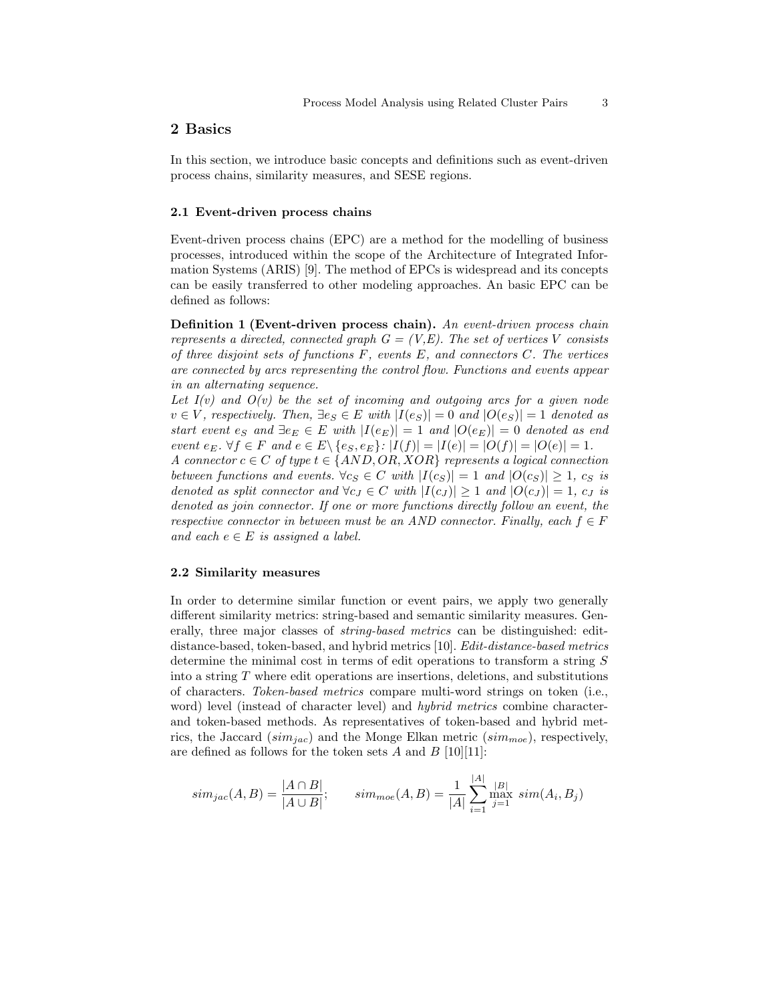# 2 Basics

In this section, we introduce basic concepts and definitions such as event-driven process chains, similarity measures, and SESE regions.

#### 2.1 Event-driven process chains

Event-driven process chains (EPC) are a method for the modelling of business processes, introduced within the scope of the Architecture of Integrated Information Systems (ARIS) [9]. The method of EPCs is widespread and its concepts can be easily transferred to other modeling approaches. An basic EPC can be defined as follows:

Definition 1 (Event-driven process chain). An event-driven process chain represents a directed, connected graph  $G = (V, E)$ . The set of vertices V consists of three disjoint sets of functions  $F$ , events  $E$ , and connectors  $C$ . The vertices are connected by arcs representing the control flow. Functions and events appear in an alternating sequence.

Let  $I(v)$  and  $O(v)$  be the set of incoming and outgoing arcs for a given node  $v \in V$ , respectively. Then,  $\exists e_S \in E$  with  $|I(e_S)| = 0$  and  $|O(e_S)| = 1$  denoted as start event  $e_S$  and  $\exists e_E \in E$  with  $|I(e_E)| = 1$  and  $|O(e_E)| = 0$  denoted as end event  $e_E$ .  $\forall f \in F$  and  $e \in E \setminus \{e_S, e_E\}$ :  $|I(f)| = |I(e)| = |O(f)| = |O(e)| = 1$ .

A connector  $c \in C$  of type  $t \in \{AND, OR, XOR\}$  represents a logical connection between functions and events.  $\forall c_S \in C$  with  $|I(c_S)| = 1$  and  $|O(c_S)| \geq 1$ ,  $c_S$  is denoted as split connector and  $\forall c_j \in C$  with  $|I(c_j)| \geq 1$  and  $|O(c_j)| = 1$ ,  $c_j$  is denoted as join connector. If one or more functions directly follow an event, the respective connector in between must be an AND connector. Finally, each  $f \in F$ and each  $e \in E$  is assigned a label.

## 2.2 Similarity measures

In order to determine similar function or event pairs, we apply two generally different similarity metrics: string-based and semantic similarity measures. Generally, three major classes of *string-based metrics* can be distinguished: editdistance-based, token-based, and hybrid metrics [10]. Edit-distance-based metrics determine the minimal cost in terms of edit operations to transform a string S into a string  $T$  where edit operations are insertions, deletions, and substitutions of characters. Token-based metrics compare multi-word strings on token (i.e., word) level (instead of character level) and *hybrid metrics* combine characterand token-based methods. As representatives of token-based and hybrid metrics, the Jaccard ( $sim_{jac}$ ) and the Monge Elkan metric ( $sim_{moe}$ ), respectively, are defined as follows for the token sets A and B  $[10][11]$ :

$$
sim_{jac}(A, B) = \frac{|A \cap B|}{|A \cup B|}; \qquad sim_{moe}(A, B) = \frac{1}{|A|} \sum_{i=1}^{|A|} \max_{j=1}^{|B|} sim(A_i, B_j)
$$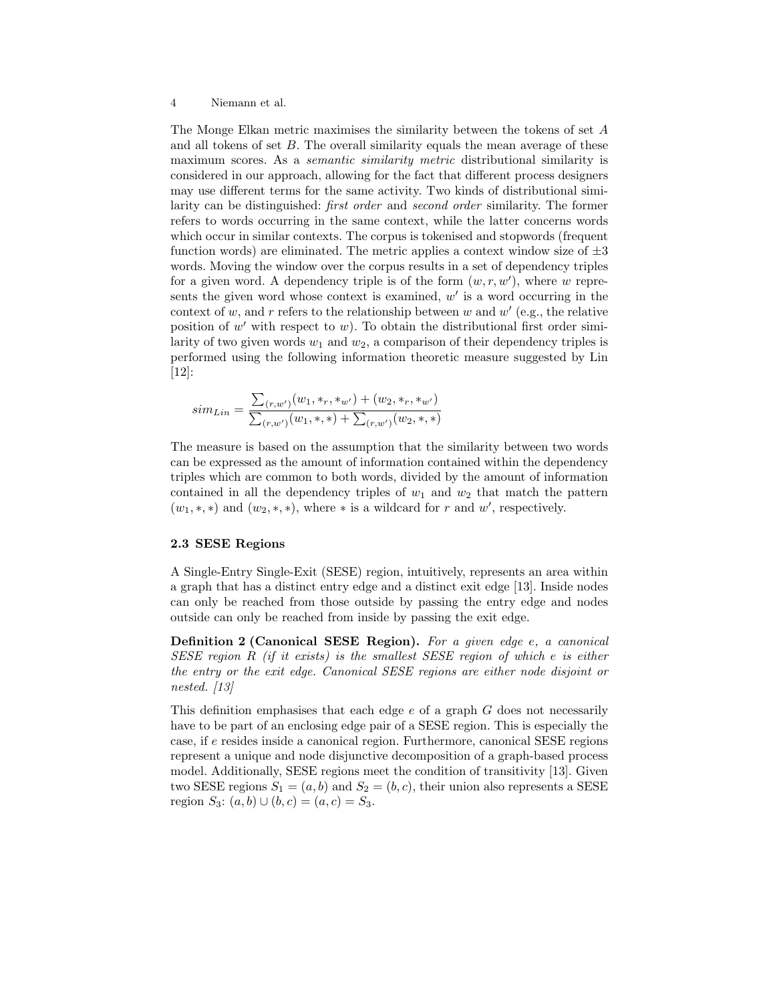The Monge Elkan metric maximises the similarity between the tokens of set A and all tokens of set  $B$ . The overall similarity equals the mean average of these maximum scores. As a *semantic similarity metric* distributional similarity is considered in our approach, allowing for the fact that different process designers may use different terms for the same activity. Two kinds of distributional similarity can be distinguished: first order and second order similarity. The former refers to words occurring in the same context, while the latter concerns words which occur in similar contexts. The corpus is tokenised and stopwords (frequent function words) are eliminated. The metric applies a context window size of  $\pm 3$ words. Moving the window over the corpus results in a set of dependency triples for a given word. A dependency triple is of the form  $(w, r, w')$ , where w represents the given word whose context is examined,  $w'$  is a word occurring in the context of w, and r refers to the relationship between w and  $w'$  (e.g., the relative position of  $w'$  with respect to  $w$ ). To obtain the distributional first order similarity of two given words  $w_1$  and  $w_2$ , a comparison of their dependency triples is performed using the following information theoretic measure suggested by Lin [12]:

$$
sim_{Lin} = \frac{\sum_{(r,w')}(w_1, *_{r}, *_{w'}) + (w_2, *_{r}, *_{w'})}{\sum_{(r,w')}(w_1, *, *) + \sum_{(r,w')}(w_2, *, *)}
$$

The measure is based on the assumption that the similarity between two words can be expressed as the amount of information contained within the dependency triples which are common to both words, divided by the amount of information contained in all the dependency triples of  $w_1$  and  $w_2$  that match the pattern  $(w_1, \ast, \ast)$  and  $(w_2, \ast, \ast)$ , where  $\ast$  is a wildcard for r and w', respectively.

## 2.3 SESE Regions

A Single-Entry Single-Exit (SESE) region, intuitively, represents an area within a graph that has a distinct entry edge and a distinct exit edge [13]. Inside nodes can only be reached from those outside by passing the entry edge and nodes outside can only be reached from inside by passing the exit edge.

Definition 2 (Canonical SESE Region). For a given edge e, a canonical SESE region R (if it exists) is the smallest SESE region of which e is either the entry or the exit edge. Canonical SESE regions are either node disjoint or nested. [13]

This definition emphasises that each edge  $e$  of a graph  $G$  does not necessarily have to be part of an enclosing edge pair of a SESE region. This is especially the case, if e resides inside a canonical region. Furthermore, canonical SESE regions represent a unique and node disjunctive decomposition of a graph-based process model. Additionally, SESE regions meet the condition of transitivity [13]. Given two SESE regions  $S_1 = (a, b)$  and  $S_2 = (b, c)$ , their union also represents a SESE region  $S_3$ :  $(a, b) \cup (b, c) = (a, c) = S_3$ .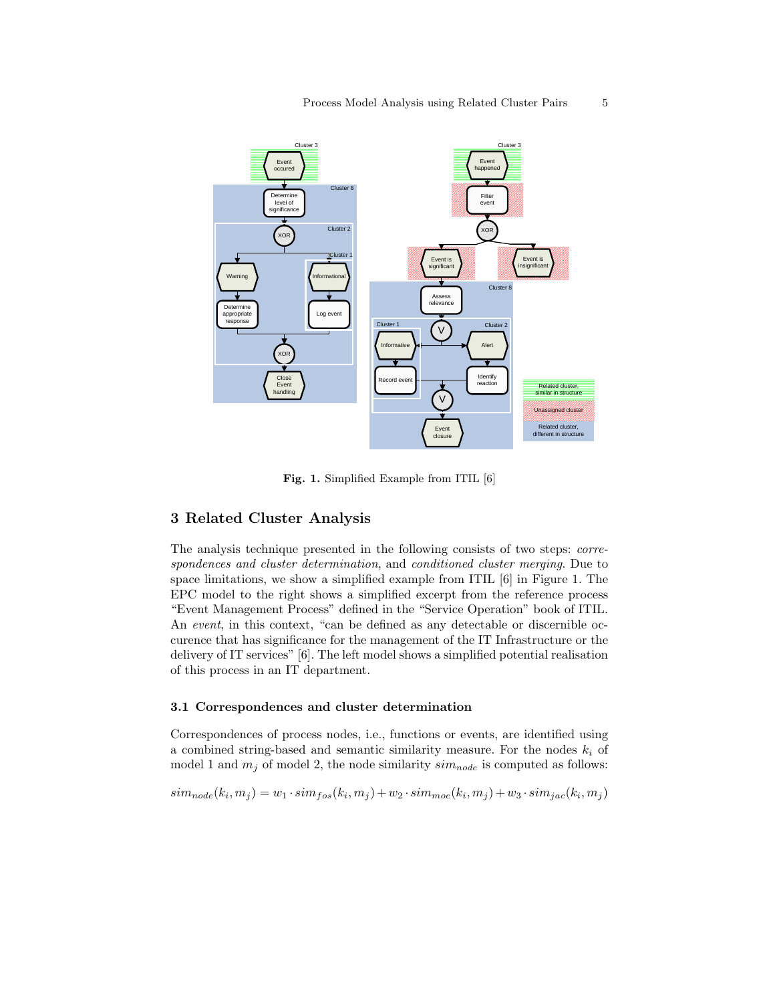

Fig. 1. Simplified Example from ITIL [6]

# 3 Related Cluster Analysis

The analysis technique presented in the following consists of two steps: correspondences and cluster determination, and conditioned cluster merging. Due to space limitations, we show a simplified example from ITIL [6] in Figure 1. The EPC model to the right shows a simplified excerpt from the reference process "Event Management Process" defined in the "Service Operation" book of ITIL. An event, in this context, "can be defined as any detectable or discernible occurence that has significance for the management of the IT Infrastructure or the delivery of IT services" [6]. The left model shows a simplified potential realisation of this process in an IT department.

#### 3.1 Correspondences and cluster determination

Correspondences of process nodes, i.e., functions or events, are identified using a combined string-based and semantic similarity measure. For the nodes  $k_i$  of model 1 and  $m_j$  of model 2, the node similarity  $sim_{node}$  is computed as follows:

 $sim_{node}(k_i, m_j) = w_1 \cdot sim_{fos}(k_i, m_j) + w_2 \cdot sim_{moe}(k_i, m_j) + w_3 \cdot sim_{jac}(k_i, m_j)$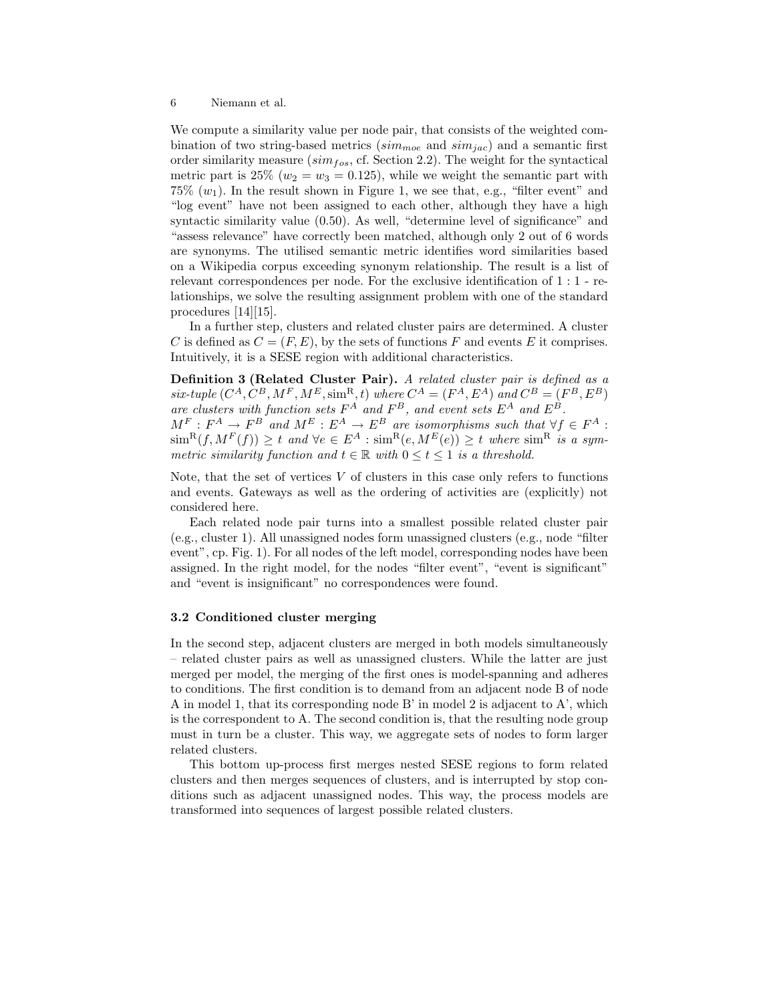We compute a similarity value per node pair, that consists of the weighted combination of two string-based metrics ( $sim_{moe}$  and  $sim_{jac}$ ) and a semantic first order similarity measure ( $sim<sub>fos</sub>$ , cf. Section 2.2). The weight for the syntactical metric part is  $25\%$  ( $w_2 = w_3 = 0.125$ ), while we weight the semantic part with 75%  $(w_1)$ . In the result shown in Figure 1, we see that, e.g., "filter event" and "log event" have not been assigned to each other, although they have a high syntactic similarity value (0.50). As well, "determine level of significance" and "assess relevance" have correctly been matched, although only 2 out of 6 words are synonyms. The utilised semantic metric identifies word similarities based on a Wikipedia corpus exceeding synonym relationship. The result is a list of relevant correspondences per node. For the exclusive identification of 1 : 1 - relationships, we solve the resulting assignment problem with one of the standard procedures [14][15].

In a further step, clusters and related cluster pairs are determined. A cluster C is defined as  $C = (F, E)$ , by the sets of functions F and events E it comprises. Intuitively, it is a SESE region with additional characteristics.

Definition 3 (Related Cluster Pair). A related cluster pair is defined as a six-tuple  $(C^A, C^B, M^F, M^E, \text{sim}^R, t)$  where  $C^A = (F^A, E^A)$  and  $C^B = (F^B, E^B)$ are clusters with function sets  $F^A$  and  $F^B$ , and event sets  $E^A$  and  $E^B$ .  $M^F: F^A \to F^B$  and  $M^E: E^A \to E^B$  are isomorphisms such that  $\forall f \in F^A$ :  $\sin^R(f, M^F(f)) \geq t$  and  $\forall e \in E^A : \sin^R(e, M^E(e)) \geq t$  where  $\sin^R i s$  a symmetric similarity function and  $t \in \mathbb{R}$  with  $0 \leq t \leq 1$  is a threshold.

Note, that the set of vertices  $V$  of clusters in this case only refers to functions and events. Gateways as well as the ordering of activities are (explicitly) not considered here.

Each related node pair turns into a smallest possible related cluster pair (e.g., cluster 1). All unassigned nodes form unassigned clusters (e.g., node "filter event", cp. Fig. 1). For all nodes of the left model, corresponding nodes have been assigned. In the right model, for the nodes "filter event", "event is significant" and "event is insignificant" no correspondences were found.

#### 3.2 Conditioned cluster merging

In the second step, adjacent clusters are merged in both models simultaneously – related cluster pairs as well as unassigned clusters. While the latter are just merged per model, the merging of the first ones is model-spanning and adheres to conditions. The first condition is to demand from an adjacent node B of node A in model 1, that its corresponding node B' in model 2 is adjacent to A', which is the correspondent to A. The second condition is, that the resulting node group must in turn be a cluster. This way, we aggregate sets of nodes to form larger related clusters.

This bottom up-process first merges nested SESE regions to form related clusters and then merges sequences of clusters, and is interrupted by stop conditions such as adjacent unassigned nodes. This way, the process models are transformed into sequences of largest possible related clusters.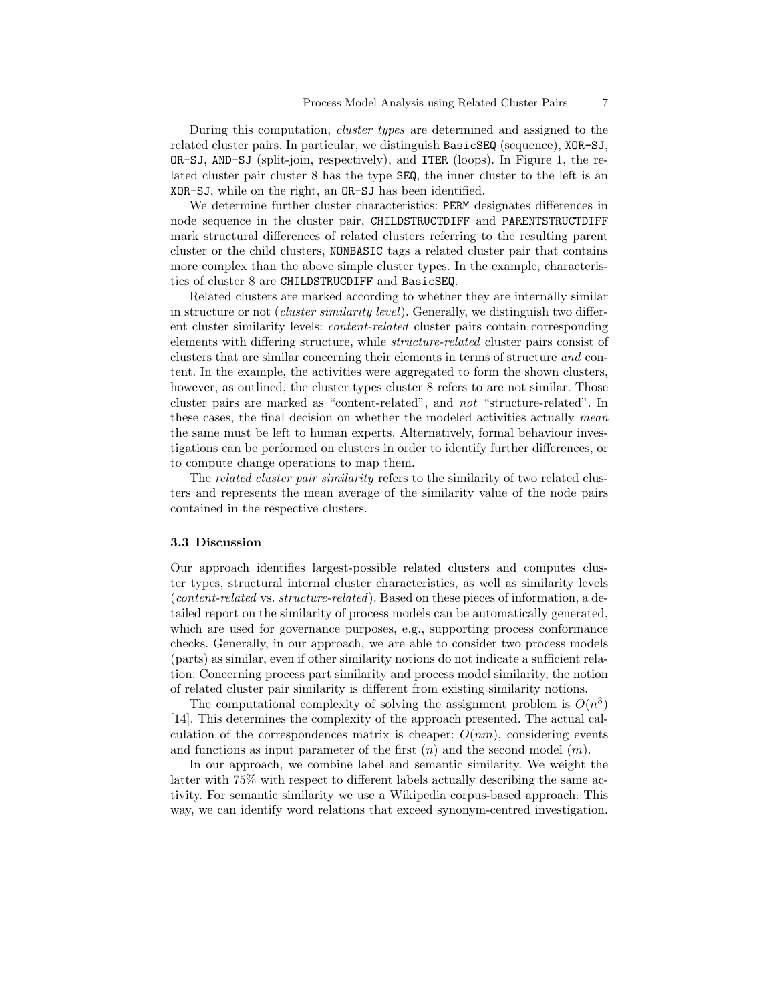During this computation, cluster types are determined and assigned to the related cluster pairs. In particular, we distinguish BasicSEQ (sequence), XOR-SJ, OR-SJ, AND-SJ (split-join, respectively), and ITER (loops). In Figure 1, the related cluster pair cluster 8 has the type SEQ, the inner cluster to the left is an XOR-SJ, while on the right, an OR-SJ has been identified.

We determine further cluster characteristics: PERM designates differences in node sequence in the cluster pair, CHILDSTRUCTDIFF and PARENTSTRUCTDIFF mark structural differences of related clusters referring to the resulting parent cluster or the child clusters, NONBASIC tags a related cluster pair that contains more complex than the above simple cluster types. In the example, characteristics of cluster 8 are CHILDSTRUCDIFF and BasicSEQ.

Related clusters are marked according to whether they are internally similar in structure or not (cluster similarity level). Generally, we distinguish two different cluster similarity levels: content-related cluster pairs contain corresponding elements with differing structure, while structure-related cluster pairs consist of clusters that are similar concerning their elements in terms of structure and content. In the example, the activities were aggregated to form the shown clusters, however, as outlined, the cluster types cluster 8 refers to are not similar. Those cluster pairs are marked as "content-related", and not "structure-related". In these cases, the final decision on whether the modeled activities actually mean the same must be left to human experts. Alternatively, formal behaviour investigations can be performed on clusters in order to identify further differences, or to compute change operations to map them.

The *related cluster pair similarity* refers to the similarity of two related clusters and represents the mean average of the similarity value of the node pairs contained in the respective clusters.

#### 3.3 Discussion

Our approach identifies largest-possible related clusters and computes cluster types, structural internal cluster characteristics, as well as similarity levels (content-related vs. structure-related). Based on these pieces of information, a detailed report on the similarity of process models can be automatically generated, which are used for governance purposes, e.g., supporting process conformance checks. Generally, in our approach, we are able to consider two process models (parts) as similar, even if other similarity notions do not indicate a sufficient relation. Concerning process part similarity and process model similarity, the notion of related cluster pair similarity is different from existing similarity notions.

The computational complexity of solving the assignment problem is  $O(n^3)$ [14]. This determines the complexity of the approach presented. The actual calculation of the correspondences matrix is cheaper:  $O(nm)$ , considering events and functions as input parameter of the first  $(n)$  and the second model  $(m)$ .

In our approach, we combine label and semantic similarity. We weight the latter with 75% with respect to different labels actually describing the same activity. For semantic similarity we use a Wikipedia corpus-based approach. This way, we can identify word relations that exceed synonym-centred investigation.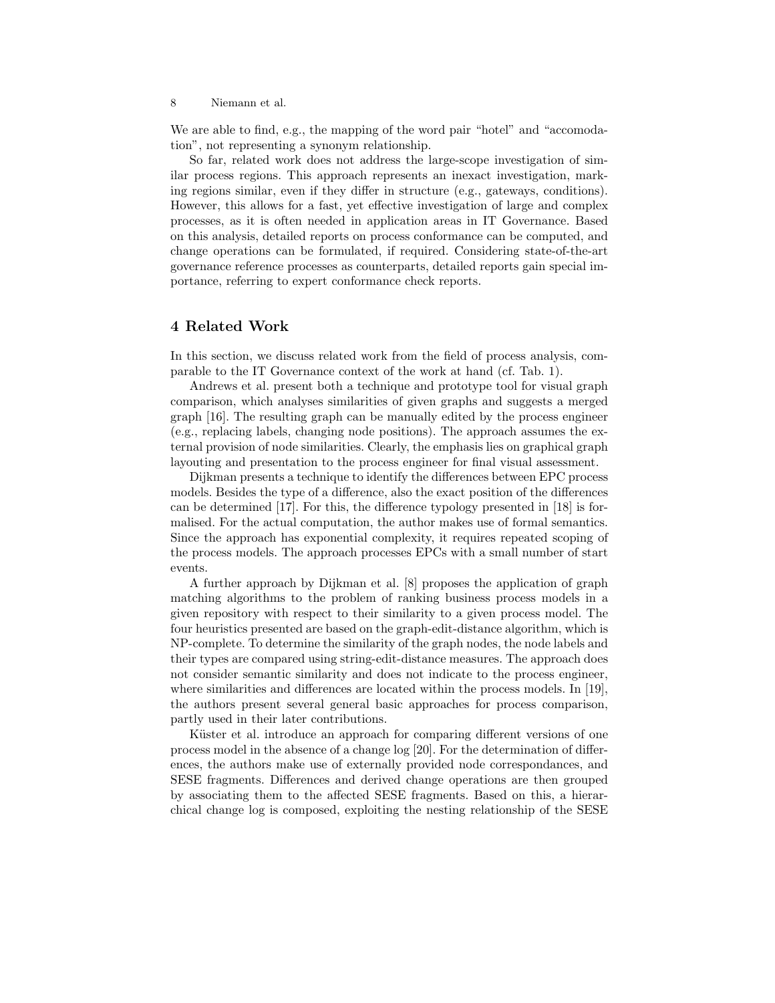We are able to find, e.g., the mapping of the word pair "hotel" and "accomodation", not representing a synonym relationship.

So far, related work does not address the large-scope investigation of similar process regions. This approach represents an inexact investigation, marking regions similar, even if they differ in structure (e.g., gateways, conditions). However, this allows for a fast, yet effective investigation of large and complex processes, as it is often needed in application areas in IT Governance. Based on this analysis, detailed reports on process conformance can be computed, and change operations can be formulated, if required. Considering state-of-the-art governance reference processes as counterparts, detailed reports gain special importance, referring to expert conformance check reports.

# 4 Related Work

In this section, we discuss related work from the field of process analysis, comparable to the IT Governance context of the work at hand (cf. Tab. 1).

Andrews et al. present both a technique and prototype tool for visual graph comparison, which analyses similarities of given graphs and suggests a merged graph [16]. The resulting graph can be manually edited by the process engineer (e.g., replacing labels, changing node positions). The approach assumes the external provision of node similarities. Clearly, the emphasis lies on graphical graph layouting and presentation to the process engineer for final visual assessment.

Dijkman presents a technique to identify the differences between EPC process models. Besides the type of a difference, also the exact position of the differences can be determined [17]. For this, the difference typology presented in [18] is formalised. For the actual computation, the author makes use of formal semantics. Since the approach has exponential complexity, it requires repeated scoping of the process models. The approach processes EPCs with a small number of start events.

A further approach by Dijkman et al. [8] proposes the application of graph matching algorithms to the problem of ranking business process models in a given repository with respect to their similarity to a given process model. The four heuristics presented are based on the graph-edit-distance algorithm, which is NP-complete. To determine the similarity of the graph nodes, the node labels and their types are compared using string-edit-distance measures. The approach does not consider semantic similarity and does not indicate to the process engineer, where similarities and differences are located within the process models. In [19], the authors present several general basic approaches for process comparison, partly used in their later contributions.

Küster et al. introduce an approach for comparing different versions of one process model in the absence of a change log [20]. For the determination of differences, the authors make use of externally provided node correspondances, and SESE fragments. Differences and derived change operations are then grouped by associating them to the affected SESE fragments. Based on this, a hierarchical change log is composed, exploiting the nesting relationship of the SESE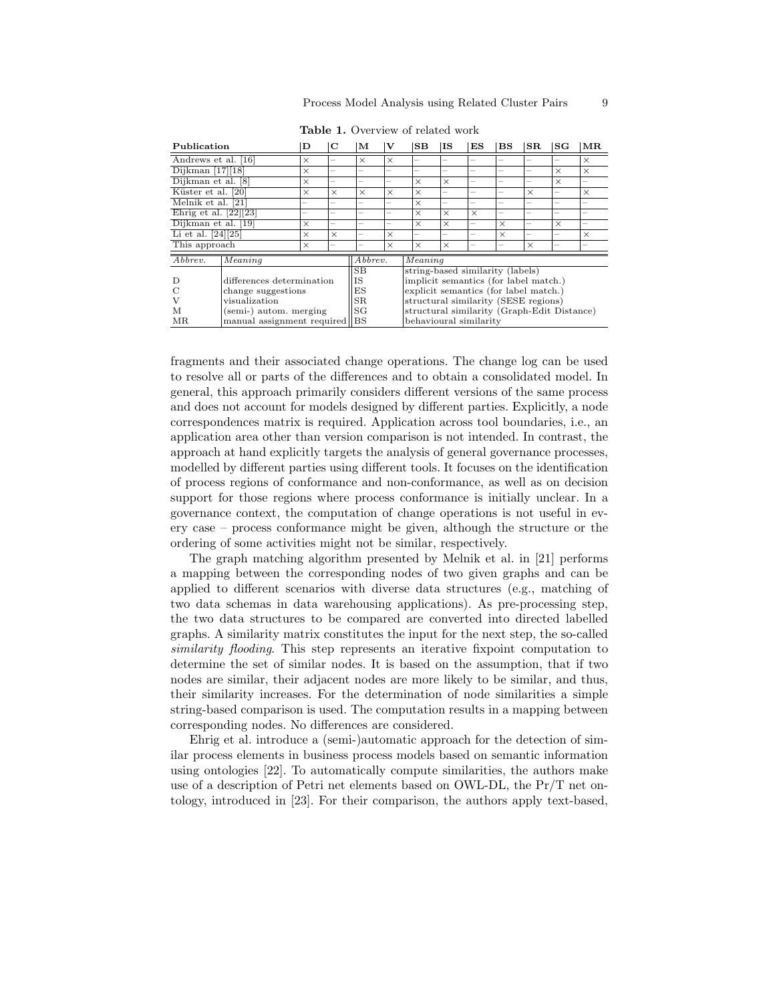| Publication             |                            | D        | С        | м                                                   | v                                     | SB                                          | IS       | ES       | <b>BS</b>                | $_{\rm SR}$ | SG       | MR       |  |
|-------------------------|----------------------------|----------|----------|-----------------------------------------------------|---------------------------------------|---------------------------------------------|----------|----------|--------------------------|-------------|----------|----------|--|
| Andrews et al. [16]     |                            | $\times$ |          | $\times$                                            | $\times$                              |                                             |          |          |                          |             |          | $\times$ |  |
| Dijkman $[17][18]$      |                            | $\times$ |          | $\overline{\phantom{a}}$                            |                                       | -                                           |          |          | -                        |             | $\times$ | $\times$ |  |
| Dijkman et al. [8]      |                            | $\times$ |          | $\overline{\phantom{a}}$                            |                                       | $\times$                                    | $\times$ |          |                          |             | $\times$ |          |  |
| Küster et al. [20]      |                            | $\times$ | $\times$ | $\times$                                            | $\times$                              | $\times$                                    |          |          |                          | $\times$    | -        | $\times$ |  |
| Melnik et al. [21]      |                            | -        |          | $\overline{\phantom{a}}$                            |                                       | $\times$                                    |          |          | -                        |             | -        |          |  |
| Ehrig et al. $[22][23]$ |                            | -        |          | $\overline{\phantom{a}}$                            |                                       | $\times$                                    | $\times$ | $\times$ |                          |             | -        |          |  |
| Dijkman et al. [19]     |                            | $\times$ |          | $\overline{\phantom{a}}$                            |                                       | $\times$                                    | $\times$ |          | $\times$                 |             | $\times$ |          |  |
| Li et al. $[24][25]$    |                            | $\times$ | $\times$ | $\overline{\phantom{a}}$                            | $\times$                              | -                                           | -        |          | $\times$                 |             | -        | $\times$ |  |
| This approach           |                            | $\times$ |          | -                                                   | $\times$                              | $\times$                                    | $\times$ |          | $\overline{\phantom{a}}$ | $\times$    | -        |          |  |
| Abbrev.<br>Meaning      |                            |          |          |                                                     | $\overline{Abbrev}.$<br>Meaning       |                                             |          |          |                          |             |          |          |  |
|                         |                            |          |          | string-based similarity (labels)<br>$_{\rm SB}$     |                                       |                                             |          |          |                          |             |          |          |  |
| D                       | differences determination  |          |          | IS<br>implicit semantics (for label match.)         |                                       |                                             |          |          |                          |             |          |          |  |
| C                       | change suggestions         |          |          | ES                                                  | explicit semantics (for label match.) |                                             |          |          |                          |             |          |          |  |
|                         | visualization              |          |          | $_{\rm SR}$<br>structural similarity (SESE regions) |                                       |                                             |          |          |                          |             |          |          |  |
| M                       | (semi-) autom. merging     |          |          | SG                                                  |                                       | structural similarity (Graph-Edit Distance) |          |          |                          |             |          |          |  |
| MR                      | manual assignment required |          |          |                                                     |                                       | behavioural similarity                      |          |          |                          |             |          |          |  |

Table 1. Overview of related work

fragments and their associated change operations. The change log can be used to resolve all or parts of the differences and to obtain a consolidated model. In general, this approach primarily considers different versions of the same process and does not account for models designed by different parties. Explicitly, a node correspondences matrix is required. Application across tool boundaries, i.e., an application area other than version comparison is not intended. In contrast, the approach at hand explicitly targets the analysis of general governance processes, modelled by different parties using different tools. It focuses on the identification of process regions of conformance and non-conformance, as well as on decision support for those regions where process conformance is initially unclear. In a governance context, the computation of change operations is not useful in every case – process conformance might be given, although the structure or the ordering of some activities might not be similar, respectively.

The graph matching algorithm presented by Melnik et al. in [21] performs a mapping between the corresponding nodes of two given graphs and can be applied to different scenarios with diverse data structures (e.g., matching of two data schemas in data warehousing applications). As pre-processing step, the two data structures to be compared are converted into directed labelled graphs. A similarity matrix constitutes the input for the next step, the so-called similarity flooding. This step represents an iterative fixpoint computation to determine the set of similar nodes. It is based on the assumption, that if two nodes are similar, their adjacent nodes are more likely to be similar, and thus, their similarity increases. For the determination of node similarities a simple string-based comparison is used. The computation results in a mapping between corresponding nodes. No differences are considered.

Ehrig et al. introduce a (semi-)automatic approach for the detection of similar process elements in business process models based on semantic information using ontologies [22]. To automatically compute similarities, the authors make use of a description of Petri net elements based on OWL-DL, the Pr/T net ontology, introduced in [23]. For their comparison, the authors apply text-based,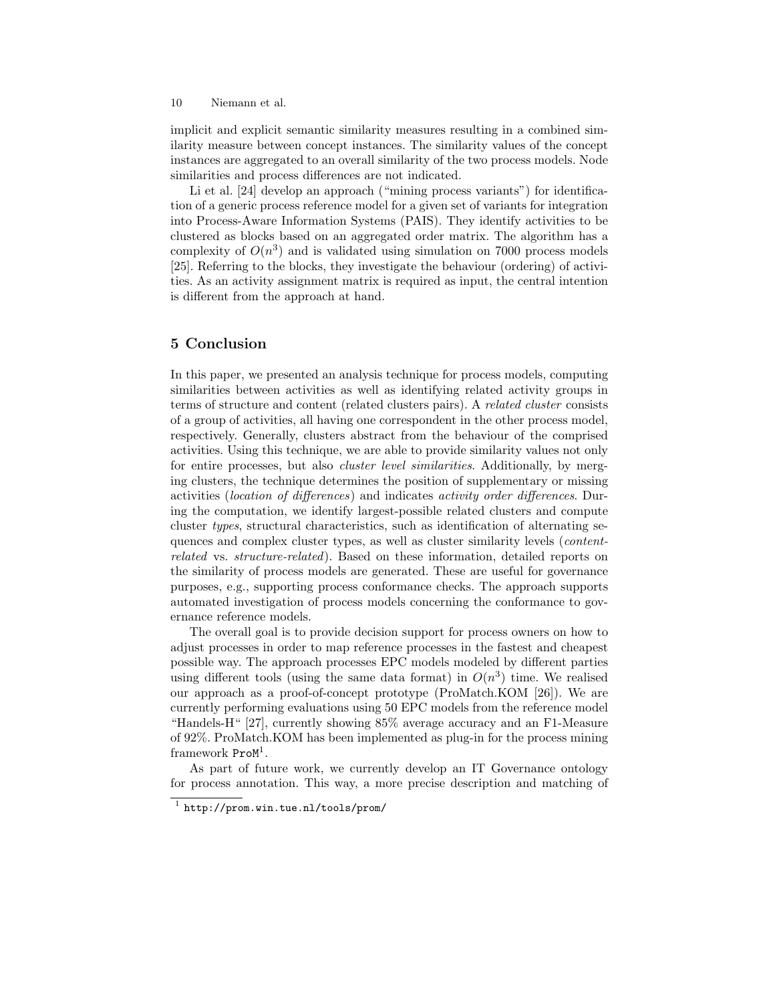implicit and explicit semantic similarity measures resulting in a combined similarity measure between concept instances. The similarity values of the concept instances are aggregated to an overall similarity of the two process models. Node similarities and process differences are not indicated.

Li et al. [24] develop an approach ("mining process variants") for identification of a generic process reference model for a given set of variants for integration into Process-Aware Information Systems (PAIS). They identify activities to be clustered as blocks based on an aggregated order matrix. The algorithm has a complexity of  $O(n^3)$  and is validated using simulation on 7000 process models [25]. Referring to the blocks, they investigate the behaviour (ordering) of activities. As an activity assignment matrix is required as input, the central intention is different from the approach at hand.

## 5 Conclusion

In this paper, we presented an analysis technique for process models, computing similarities between activities as well as identifying related activity groups in terms of structure and content (related clusters pairs). A related cluster consists of a group of activities, all having one correspondent in the other process model, respectively. Generally, clusters abstract from the behaviour of the comprised activities. Using this technique, we are able to provide similarity values not only for entire processes, but also *cluster level similarities*. Additionally, by merging clusters, the technique determines the position of supplementary or missing activities (location of differences) and indicates activity order differences. During the computation, we identify largest-possible related clusters and compute cluster types, structural characteristics, such as identification of alternating sequences and complex cluster types, as well as cluster similarity levels (contentrelated vs. structure-related). Based on these information, detailed reports on the similarity of process models are generated. These are useful for governance purposes, e.g., supporting process conformance checks. The approach supports automated investigation of process models concerning the conformance to governance reference models.

The overall goal is to provide decision support for process owners on how to adjust processes in order to map reference processes in the fastest and cheapest possible way. The approach processes EPC models modeled by different parties using different tools (using the same data format) in  $O(n^3)$  time. We realised our approach as a proof-of-concept prototype (ProMatch.KOM [26]). We are currently performing evaluations using 50 EPC models from the reference model "Handels-H" [27], currently showing 85% average accuracy and an F1-Measure of 92%. ProMatch.KOM has been implemented as plug-in for the process mining  $\mathrm{framework} \ \mathtt{ProM}^1.$ 

As part of future work, we currently develop an IT Governance ontology for process annotation. This way, a more precise description and matching of

<sup>1</sup> http://prom.win.tue.nl/tools/prom/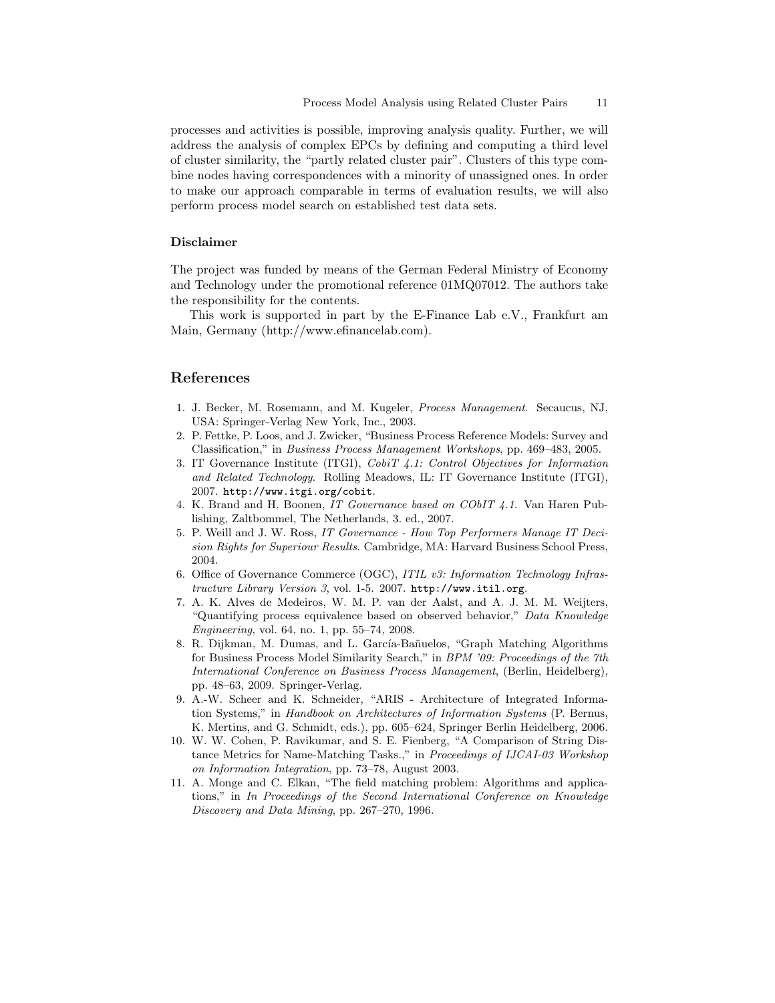processes and activities is possible, improving analysis quality. Further, we will address the analysis of complex EPCs by defining and computing a third level of cluster similarity, the "partly related cluster pair". Clusters of this type combine nodes having correspondences with a minority of unassigned ones. In order to make our approach comparable in terms of evaluation results, we will also perform process model search on established test data sets.

## Disclaimer

The project was funded by means of the German Federal Ministry of Economy and Technology under the promotional reference 01MQ07012. The authors take the responsibility for the contents.

This work is supported in part by the E-Finance Lab e.V., Frankfurt am Main, Germany (http://www.efinancelab.com).

## References

- 1. J. Becker, M. Rosemann, and M. Kugeler, Process Management. Secaucus, NJ, USA: Springer-Verlag New York, Inc., 2003.
- 2. P. Fettke, P. Loos, and J. Zwicker, "Business Process Reference Models: Survey and Classification," in Business Process Management Workshops, pp. 469–483, 2005.
- 3. IT Governance Institute (ITGI), CobiT 4.1: Control Objectives for Information and Related Technology. Rolling Meadows, IL: IT Governance Institute (ITGI), 2007. http://www.itgi.org/cobit.
- 4. K. Brand and H. Boonen, IT Governance based on CObIT 4.1. Van Haren Publishing, Zaltbommel, The Netherlands, 3. ed., 2007.
- 5. P. Weill and J. W. Ross, IT Governance How Top Performers Manage IT Decision Rights for Superiour Results. Cambridge, MA: Harvard Business School Press, 2004.
- 6. Office of Governance Commerce (OGC), ITIL v3: Information Technology Infrastructure Library Version 3, vol. 1-5. 2007. http://www.itil.org.
- 7. A. K. Alves de Medeiros, W. M. P. van der Aalst, and A. J. M. M. Weijters, "Quantifying process equivalence based on observed behavior," Data Knowledge Engineering, vol. 64, no. 1, pp. 55–74, 2008.
- 8. R. Dijkman, M. Dumas, and L. García-Bañuelos, "Graph Matching Algorithms" for Business Process Model Similarity Search," in BPM '09: Proceedings of the 7th International Conference on Business Process Management, (Berlin, Heidelberg), pp. 48–63, 2009. Springer-Verlag.
- 9. A.-W. Scheer and K. Schneider, "ARIS Architecture of Integrated Information Systems," in Handbook on Architectures of Information Systems (P. Bernus, K. Mertins, and G. Schmidt, eds.), pp. 605–624, Springer Berlin Heidelberg, 2006.
- 10. W. W. Cohen, P. Ravikumar, and S. E. Fienberg, "A Comparison of String Distance Metrics for Name-Matching Tasks.," in Proceedings of IJCAI-03 Workshop on Information Integration, pp. 73–78, August 2003.
- 11. A. Monge and C. Elkan, "The field matching problem: Algorithms and applications," in In Proceedings of the Second International Conference on Knowledge Discovery and Data Mining, pp. 267–270, 1996.